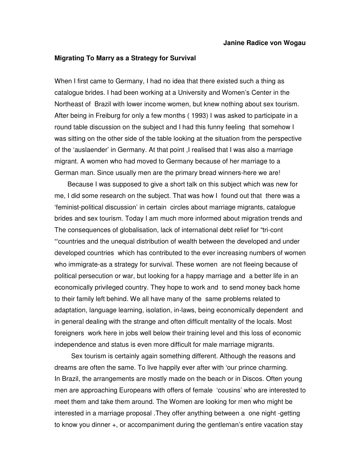## **Migrating To Marry as a Strategy for Survival**

When I first came to Germany, I had no idea that there existed such a thing as catalogue brides. I had been working at a University and Women's Center in the Northeast of Brazil with lower income women, but knew nothing about sex tourism. After being in Freiburg for only a few months ( 1993) I was asked to participate in a round table discussion on the subject and I had this funny feeling that somehow I was sitting on the other side of the table looking at the situation from the perspective of the 'auslaender' in Germany. At that point ,I realised that I was also a marriage migrant. A women who had moved to Germany because of her marriage to a German man. Since usually men are the primary bread winners-here we are!

 Because I was supposed to give a short talk on this subject which was new for me, I did some research on the subject. That was how I found out that there was a 'feminist-political discussion' in certain circles about marriage migrants, catalogue brides and sex tourism. Today I am much more informed about migration trends and The consequences of globalisation, lack of international debt relief for "tri-cont "'countries and the unequal distribution of wealth between the developed and under developed countries which has contributed to the ever increasing numbers of women who immigrate-as a strategy for survival. These women are not fleeing because of political persecution or war, but looking for a happy marriage and a better life in an economically privileged country. They hope to work and to send money back home to their family left behind. We all have many of the same problems related to adaptation, language learning, isolation, in-laws, being economically dependent and in general dealing with the strange and often difficult mentality of the locals. Most foreigners work here in jobs well below their training level and this loss of economic independence and status is even more difficult for male marriage migrants.

 Sex tourism is certainly again something different. Although the reasons and dreams are often the same. To live happily ever after with 'our prince charming. In Brazil, the arrangements are mostly made on the beach or in Discos. Often young men are approaching Europeans with offers of female 'cousins' who are interested to meet them and take them around. The Women are looking for men who might be interested in a marriage proposal .They offer anything between a one night -getting to know you dinner +, or accompaniment during the gentleman's entire vacation stay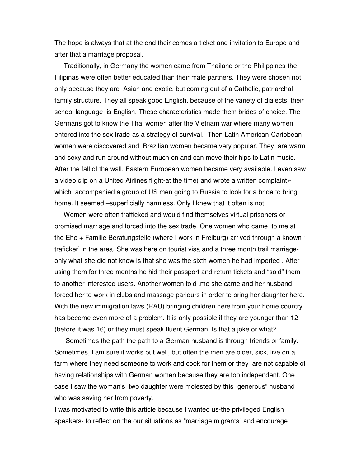The hope is always that at the end their comes a ticket and invitation to Europe and after that a marriage proposal.

 Traditionally, in Germany the women came from Thailand or the Philippines-the Filipinas were often better educated than their male partners. They were chosen not only because they are Asian and exotic, but coming out of a Catholic, patriarchal family structure. They all speak good English, because of the variety of dialects their school language is English. These characteristics made them brides of choice. The Germans got to know the Thai women after the Vietnam war where many women entered into the sex trade-as a strategy of survival. Then Latin American-Caribbean women were discovered and Brazilian women became very popular. They are warm and sexy and run around without much on and can move their hips to Latin music. After the fall of the wall, Eastern European women became very available. I even saw a video clip on a United Airlines flight-at the time( and wrote a written complaint) which accompanied a group of US men going to Russia to look for a bride to bring home. It seemed –superficially harmless. Only I knew that it often is not.

 Women were often trafficked and would find themselves virtual prisoners or promised marriage and forced into the sex trade. One women who came to me at the Ehe + Familie Beratungstelle (where I work in Freiburg) arrived through a known ' traficker' in the area. She was here on tourist visa and a three month trail marriageonly what she did not know is that she was the sixth women he had imported . After using them for three months he hid their passport and return tickets and "sold" them to another interested users. Another women told ,me she came and her husband forced her to work in clubs and massage parlours in order to bring her daughter here. With the new immigration laws (RAU) bringing children here from your home country has become even more of a problem. It is only possible if they are younger than 12 (before it was 16) or they must speak fluent German. Is that a joke or what?

 Sometimes the path the path to a German husband is through friends or family. Sometimes, I am sure it works out well, but often the men are older, sick, live on a farm where they need someone to work and cook for them or they are not capable of having relationships with German women because they are too independent. One case I saw the woman's two daughter were molested by this "generous" husband who was saving her from poverty.

I was motivated to write this article because I wanted us-the privileged English speakers- to reflect on the our situations as "marriage migrants" and encourage